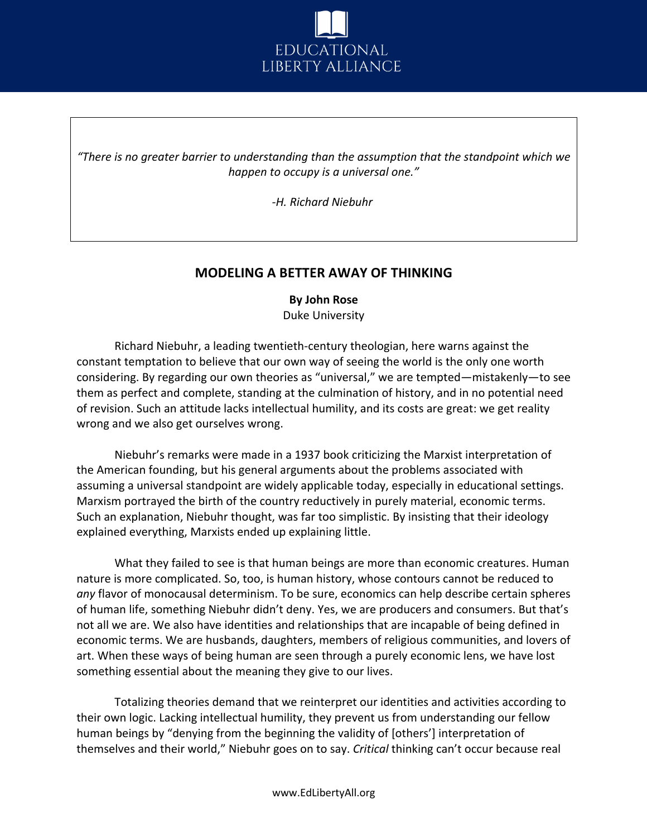

*"There is no greater barrier to understanding than the assumption that the standpoint which we happen to occupy is a universal one."*

*-H. Richard Niebuhr*

## **MODELING A BETTER AWAY OF THINKING**

## **By John Rose** Duke University

Richard Niebuhr, a leading twentieth-century theologian, here warns against the constant temptation to believe that our own way of seeing the world is the only one worth considering. By regarding our own theories as "universal," we are tempted—mistakenly—to see them as perfect and complete, standing at the culmination of history, and in no potential need of revision. Such an attitude lacks intellectual humility, and its costs are great: we get reality wrong and we also get ourselves wrong.

Niebuhr's remarks were made in a 1937 book criticizing the Marxist interpretation of the American founding, but his general arguments about the problems associated with assuming a universal standpoint are widely applicable today, especially in educational settings. Marxism portrayed the birth of the country reductively in purely material, economic terms. Such an explanation, Niebuhr thought, was far too simplistic. By insisting that their ideology explained everything, Marxists ended up explaining little.

What they failed to see is that human beings are more than economic creatures. Human nature is more complicated. So, too, is human history, whose contours cannot be reduced to *any* flavor of monocausal determinism. To be sure, economics can help describe certain spheres of human life, something Niebuhr didn't deny. Yes, we are producers and consumers. But that's not all we are. We also have identities and relationships that are incapable of being defined in economic terms. We are husbands, daughters, members of religious communities, and lovers of art. When these ways of being human are seen through a purely economic lens, we have lost something essential about the meaning they give to our lives.

Totalizing theories demand that we reinterpret our identities and activities according to their own logic. Lacking intellectual humility, they prevent us from understanding our fellow human beings by "denying from the beginning the validity of [others'] interpretation of themselves and their world," Niebuhr goes on to say. *Critical* thinking can't occur because real